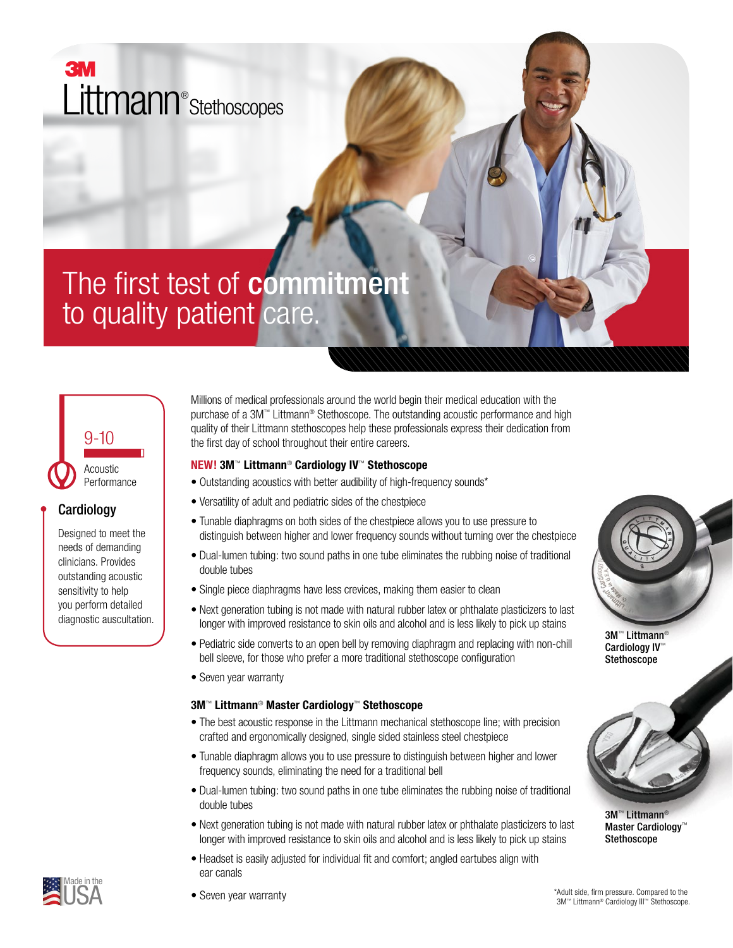ЗM Littmann® Stethoscopes

# The first test of commitment to quality patient care.



## **Cardiology**

Designed to meet the needs of demanding clinicians. Provides outstanding acoustic sensitivity to help you perform detailed diagnostic auscultation. Millions of medical professionals around the world begin their medical education with the purchase of a 3M™ Littmann® Stethoscope. The outstanding acoustic performance and high quality of their Littmann stethoscopes help these professionals express their dedication from the first day of school throughout their entire careers.

#### **NEW! 3M**™ **Littmann**® **Cardiology IV**™ **Stethoscope**

- Outstanding acoustics with better audibility of high-frequency sounds\*
- Versatility of adult and pediatric sides of the chestpiece
- Tunable diaphragms on both sides of the chestpiece allows you to use pressure to distinguish between higher and lower frequency sounds without turning over the chestpiece
- Dual-lumen tubing: two sound paths in one tube eliminates the rubbing noise of traditional double tubes
- Single piece diaphragms have less crevices, making them easier to clean
- Next generation tubing is not made with natural rubber latex or phthalate plasticizers to last longer with improved resistance to skin oils and alcohol and is less likely to pick up stains
- Pediatric side converts to an open bell by removing diaphragm and replacing with non-chill bell sleeve, for those who prefer a more traditional stethoscope configuration
- Seven year warranty

#### **3M**™ **Littmann**® **Master Cardiology**™ **Stethoscope**

- The best acoustic response in the Littmann mechanical stethoscope line; with precision crafted and ergonomically designed, single sided stainless steel chestpiece
- Tunable diaphragm allows you to use pressure to distinguish between higher and lower frequency sounds, eliminating the need for a traditional bell
- Dual-lumen tubing: two sound paths in one tube eliminates the rubbing noise of traditional double tubes
- Next generation tubing is not made with natural rubber latex or phthalate plasticizers to last longer with improved resistance to skin oils and alcohol and is less likely to pick up stains
- Headset is easily adjusted for individual fit and comfort; angled eartubes align with ear canals



3M™ Littmann® Cardiology IV™ Stethoscope



3M™ Littmann<sup>®</sup> Master Cardiology™ Stethoscope



• Seven year warranty